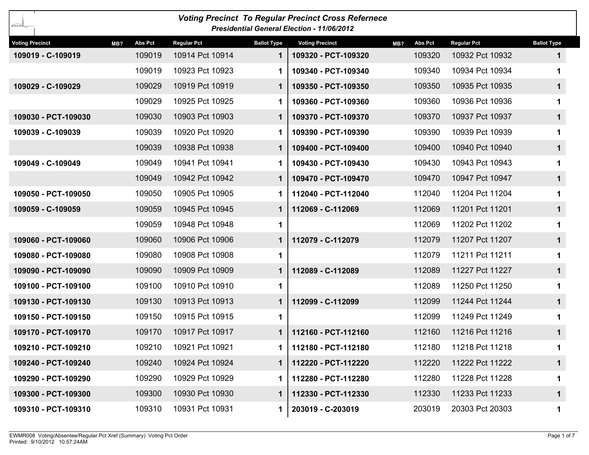| <b>Voting Precinct To Regular Precinct Cross Refernece</b><br>يكتتبك<br><b>Presidential General Election - 11/06/2012</b> |                       |                    |                    |                        |                       |                    |                    |  |  |  |  |
|---------------------------------------------------------------------------------------------------------------------------|-----------------------|--------------------|--------------------|------------------------|-----------------------|--------------------|--------------------|--|--|--|--|
| <b>Voting Precinct</b>                                                                                                    | <b>Abs Pct</b><br>MB? | <b>Regular Pct</b> | <b>Ballot Type</b> | <b>Voting Precinct</b> | <b>Abs Pct</b><br>MB? | <b>Regular Pct</b> | <b>Ballot Type</b> |  |  |  |  |
| 109019 - C-109019                                                                                                         | 109019                | 10914 Pct 10914    | 1                  | 109320 - PCT-109320    | 109320                | 10932 Pct 10932    |                    |  |  |  |  |
|                                                                                                                           | 109019                | 10923 Pct 10923    |                    | 109340 - PCT-109340    | 109340                | 10934 Pct 10934    |                    |  |  |  |  |
| 109029 - C-109029                                                                                                         | 109029                | 10919 Pct 10919    | 1                  | 109350 - PCT-109350    | 109350                | 10935 Pct 10935    | $\mathbf 1$        |  |  |  |  |
|                                                                                                                           | 109029                | 10925 Pct 10925    |                    | 109360 - PCT-109360    | 109360                | 10936 Pct 10936    |                    |  |  |  |  |
| 109030 - PCT-109030                                                                                                       | 109030                | 10903 Pct 10903    | 1                  | 109370 - PCT-109370    | 109370                | 10937 Pct 10937    | $\mathbf 1$        |  |  |  |  |
| 109039 - C-109039                                                                                                         | 109039                | 10920 Pct 10920    |                    | 109390 - PCT-109390    | 109390                | 10939 Pct 10939    |                    |  |  |  |  |
|                                                                                                                           | 109039                | 10938 Pct 10938    | 1                  | 109400 - PCT-109400    | 109400                | 10940 Pct 10940    | $\mathbf 1$        |  |  |  |  |
| 109049 - C-109049                                                                                                         | 109049                | 10941 Pct 10941    | 1                  | 109430 - PCT-109430    | 109430                | 10943 Pct 10943    |                    |  |  |  |  |
|                                                                                                                           | 109049                | 10942 Pct 10942    | 1                  | 109470 - PCT-109470    | 109470                | 10947 Pct 10947    | 1                  |  |  |  |  |
| 109050 - PCT-109050                                                                                                       | 109050                | 10905 Pct 10905    |                    | 112040 - PCT-112040    | 112040                | 11204 Pct 11204    |                    |  |  |  |  |
| 109059 - C-109059                                                                                                         | 109059                | 10945 Pct 10945    |                    | 112069 - C-112069      | 112069                | 11201 Pct 11201    | 1                  |  |  |  |  |
|                                                                                                                           | 109059                | 10948 Pct 10948    | 1                  |                        | 112069                | 11202 Pct 11202    |                    |  |  |  |  |
| 109060 - PCT-109060                                                                                                       | 109060                | 10906 Pct 10906    | 1                  | 112079 - C-112079      | 112079                | 11207 Pct 11207    | 1                  |  |  |  |  |
| 109080 - PCT-109080                                                                                                       | 109080                | 10908 Pct 10908    | 1                  |                        | 112079                | 11211 Pct 11211    |                    |  |  |  |  |
| 109090 - PCT-109090                                                                                                       | 109090                | 10909 Pct 10909    |                    | 112089 - C-112089      | 112089                | 11227 Pct 11227    | 1                  |  |  |  |  |
| 109100 - PCT-109100                                                                                                       | 109100                | 10910 Pct 10910    | 1                  |                        | 112089                | 11250 Pct 11250    |                    |  |  |  |  |
| 109130 - PCT-109130                                                                                                       | 109130                | 10913 Pct 10913    | 1                  | 112099 - C-112099      | 112099                | 11244 Pct 11244    | $\mathbf 1$        |  |  |  |  |
| 109150 - PCT-109150                                                                                                       | 109150                | 10915 Pct 10915    | 1                  |                        | 112099                | 11249 Pct 11249    |                    |  |  |  |  |
| 109170 - PCT-109170                                                                                                       | 109170                | 10917 Pct 10917    |                    | 112160 - PCT-112160    | 112160                | 11216 Pct 11216    | 1                  |  |  |  |  |
| 109210 - PCT-109210                                                                                                       | 109210                | 10921 Pct 10921    |                    | 112180 - PCT-112180    | 112180                | 11218 Pct 11218    |                    |  |  |  |  |
| 109240 - PCT-109240                                                                                                       | 109240                | 10924 Pct 10924    |                    | 112220 - PCT-112220    | 112220                | 11222 Pct 11222    | $\mathbf 1$        |  |  |  |  |
| 109290 - PCT-109290                                                                                                       | 109290                | 10929 Pct 10929    |                    | 112280 - PCT-112280    | 112280                | 11228 Pct 11228    |                    |  |  |  |  |
| 109300 - PCT-109300                                                                                                       | 109300                | 10930 Pct 10930    | 1                  | 112330 - PCT-112330    | 112330                | 11233 Pct 11233    | $\mathbf{1}$       |  |  |  |  |
| 109310 - PCT-109310                                                                                                       | 109310                | 10931 Pct 10931    |                    | 203019 - C-203019      | 203019                | 20303 Pct 20303    |                    |  |  |  |  |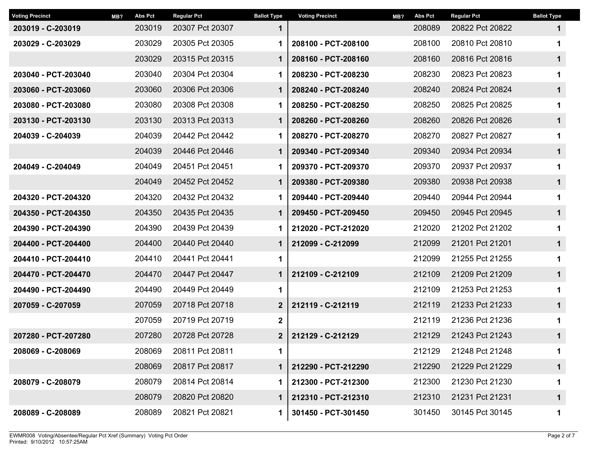| <b>Voting Precinct</b> | MB? | <b>Abs Pct</b> | <b>Regular Pct</b> | <b>Ballot Type</b> | <b>Voting Precinct</b> | MB? | <b>Abs Pct</b> | <b>Regular Pct</b> | <b>Ballot Type</b> |
|------------------------|-----|----------------|--------------------|--------------------|------------------------|-----|----------------|--------------------|--------------------|
| 203019 - C-203019      |     | 203019         | 20307 Pct 20307    | $\mathbf 1$        |                        |     | 208089         | 20822 Pct 20822    | 1                  |
| 203029 - C-203029      |     | 203029         | 20305 Pct 20305    | 1                  | 208100 - PCT-208100    |     | 208100         | 20810 Pct 20810    | 1                  |
|                        |     | 203029         | 20315 Pct 20315    | $\mathbf 1$        | 208160 - PCT-208160    |     | 208160         | 20816 Pct 20816    | 1                  |
| 203040 - PCT-203040    |     | 203040         | 20304 Pct 20304    | 1                  | 208230 - PCT-208230    |     | 208230         | 20823 Pct 20823    | 1                  |
| 203060 - PCT-203060    |     | 203060         | 20306 Pct 20306    | $\mathbf 1$        | 208240 - PCT-208240    |     | 208240         | 20824 Pct 20824    | $\mathbf{1}$       |
| 203080 - PCT-203080    |     | 203080         | 20308 Pct 20308    | 1                  | 208250 - PCT-208250    |     | 208250         | 20825 Pct 20825    | 1                  |
| 203130 - PCT-203130    |     | 203130         | 20313 Pct 20313    | 1                  | 208260 - PCT-208260    |     | 208260         | 20826 Pct 20826    | 1                  |
| 204039 - C-204039      |     | 204039         | 20442 Pct 20442    | 1                  | 208270 - PCT-208270    |     | 208270         | 20827 Pct 20827    | 1                  |
|                        |     | 204039         | 20446 Pct 20446    | 1                  | 209340 - PCT-209340    |     | 209340         | 20934 Pct 20934    | 1                  |
| 204049 - C-204049      |     | 204049         | 20451 Pct 20451    | 1                  | 209370 - PCT-209370    |     | 209370         | 20937 Pct 20937    | 1                  |
|                        |     | 204049         | 20452 Pct 20452    | 1                  | 209380 - PCT-209380    |     | 209380         | 20938 Pct 20938    | $\mathbf 1$        |
| 204320 - PCT-204320    |     | 204320         | 20432 Pct 20432    | 1                  | 209440 - PCT-209440    |     | 209440         | 20944 Pct 20944    | 1                  |
| 204350 - PCT-204350    |     | 204350         | 20435 Pct 20435    | 1                  | 209450 - PCT-209450    |     | 209450         | 20945 Pct 20945    | 1                  |
| 204390 - PCT-204390    |     | 204390         | 20439 Pct 20439    | 1                  | 212020 - PCT-212020    |     | 212020         | 21202 Pct 21202    | 1                  |
| 204400 - PCT-204400    |     | 204400         | 20440 Pct 20440    | 1                  | 212099 - C-212099      |     | 212099         | 21201 Pct 21201    | 1                  |
| 204410 - PCT-204410    |     | 204410         | 20441 Pct 20441    | 1                  |                        |     | 212099         | 21255 Pct 21255    | 1                  |
| 204470 - PCT-204470    |     | 204470         | 20447 Pct 20447    | $\mathbf 1$        | 212109 - C-212109      |     | 212109         | 21209 Pct 21209    | $\mathbf 1$        |
| 204490 - PCT-204490    |     | 204490         | 20449 Pct 20449    | 1                  |                        |     | 212109         | 21253 Pct 21253    | 1                  |
| 207059 - C-207059      |     | 207059         | 20718 Pct 20718    | $\boldsymbol{2}$   | 212119 - C-212119      |     | 212119         | 21233 Pct 21233    | 1                  |
|                        |     | 207059         | 20719 Pct 20719    | $\mathbf 2$        |                        |     | 212119         | 21236 Pct 21236    | 1                  |
| 207280 - PCT-207280    |     | 207280         | 20728 Pct 20728    | 2 <sup>2</sup>     | 212129 - C-212129      |     | 212129         | 21243 Pct 21243    | 1                  |
| 208069 - C-208069      |     | 208069         | 20811 Pct 20811    | 1                  |                        |     | 212129         | 21248 Pct 21248    | 1                  |
|                        |     | 208069         | 20817 Pct 20817    | $\mathbf 1$        | 212290 - PCT-212290    |     | 212290         | 21229 Pct 21229    | $\mathbf 1$        |
| 208079 - C-208079      |     | 208079         | 20814 Pct 20814    | 1                  | 212300 - PCT-212300    |     | 212300         | 21230 Pct 21230    | 1                  |
|                        |     | 208079         | 20820 Pct 20820    | 1                  | 212310 - PCT-212310    |     | 212310         | 21231 Pct 21231    | $\mathbf 1$        |
| 208089 - C-208089      |     | 208089         | 20821 Pct 20821    | 1                  | 301450 - PCT-301450    |     | 301450         | 30145 Pct 30145    | 1                  |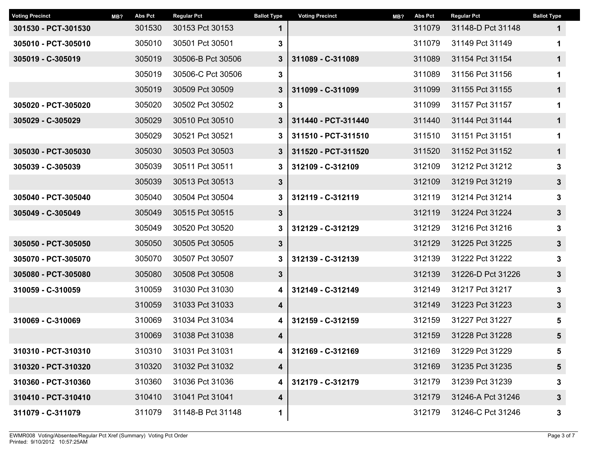| MB? | <b>Abs Pct</b> | <b>Regular Pct</b> | <b>Ballot Type</b> | <b>Voting Precinct</b> | MB? | <b>Abs Pct</b> | <b>Regular Pct</b> | <b>Ballot Type</b> |
|-----|----------------|--------------------|--------------------|------------------------|-----|----------------|--------------------|--------------------|
|     | 301530         | 30153 Pct 30153    | 1                  |                        |     | 311079         | 31148-D Pct 31148  | $\mathbf 1$        |
|     | 305010         | 30501 Pct 30501    | 3                  |                        |     | 311079         | 31149 Pct 31149    | 1                  |
|     | 305019         | 30506-B Pct 30506  | $3\phantom{a}$     | 311089 - C-311089      |     | 311089         | 31154 Pct 31154    | $\mathbf 1$        |
|     | 305019         | 30506-C Pct 30506  | 3                  |                        |     | 311089         | 31156 Pct 31156    | 1                  |
|     | 305019         | 30509 Pct 30509    | $3\phantom{a}$     | 311099 - C-311099      |     | 311099         | 31155 Pct 31155    | $\mathbf 1$        |
|     | 305020         | 30502 Pct 30502    | 3                  |                        |     |                | 31157 Pct 31157    | 1                  |
|     | 305029         | 30510 Pct 30510    | 3                  | 311440 - PCT-311440    |     | 311440         | 31144 Pct 31144    | $\mathbf 1$        |
|     | 305029         | 30521 Pct 30521    | 3                  | 311510 - PCT-311510    |     | 311510         | 31151 Pct 31151    | 1                  |
|     | 305030         | 30503 Pct 30503    | $3\phantom{a}$     | 311520 - PCT-311520    |     | 311520         | 31152 Pct 31152    | $\mathbf 1$        |
|     | 305039         | 30511 Pct 30511    | 3                  | 312109 - C-312109      |     | 312109         | 31212 Pct 31212    | 3                  |
|     | 305039         | 30513 Pct 30513    | $3\phantom{a}$     |                        |     | 312109         | 31219 Pct 31219    | $\mathbf{3}$       |
|     | 305040         | 30504 Pct 30504    | 3                  | 312119 - C-312119      |     | 312119         | 31214 Pct 31214    | 3                  |
|     | 305049         | 30515 Pct 30515    | $3\phantom{a}$     |                        |     | 312119         | 31224 Pct 31224    | $\mathbf{3}$       |
|     | 305049         | 30520 Pct 30520    | 3                  | 312129 - C-312129      |     | 312129         | 31216 Pct 31216    | 3                  |
|     | 305050         | 30505 Pct 30505    | $3\phantom{a}$     |                        |     | 312129         | 31225 Pct 31225    | $\mathbf{3}$       |
|     | 305070         | 30507 Pct 30507    | 3                  | 312139 - C-312139      |     | 312139         | 31222 Pct 31222    | 3                  |
|     | 305080         | 30508 Pct 30508    | $\mathbf{3}$       |                        |     | 312139         | 31226-D Pct 31226  | $\mathbf{3}$       |
|     | 310059         | 31030 Pct 31030    | 4                  | 312149 - C-312149      |     | 312149         | 31217 Pct 31217    | 3                  |
|     | 310059         | 31033 Pct 31033    | 4                  |                        |     | 312149         | 31223 Pct 31223    | $\mathbf{3}$       |
|     | 310069         | 31034 Pct 31034    | 4                  | 312159 - C-312159      |     | 312159         | 31227 Pct 31227    | 5                  |
|     | 310069         | 31038 Pct 31038    | 4                  |                        |     | 312159         | 31228 Pct 31228    | 5                  |
|     | 310310         | 31031 Pct 31031    | 4                  | 312169 - C-312169      |     | 312169         | 31229 Pct 31229    | 5                  |
|     | 310320         | 31032 Pct 31032    | 4                  |                        |     | 312169         | 31235 Pct 31235    | 5                  |
|     | 310360         | 31036 Pct 31036    | 4                  | 312179 - C-312179      |     | 312179         | 31239 Pct 31239    | 3                  |
|     | 310410         | 31041 Pct 31041    | 4                  |                        |     | 312179         | 31246-A Pct 31246  | $\mathbf{3}$       |
|     | 311079         | 31148-B Pct 31148  | 1                  |                        |     | 312179         | 31246-C Pct 31246  | 3                  |
|     |                |                    |                    |                        |     |                | 311099             |                    |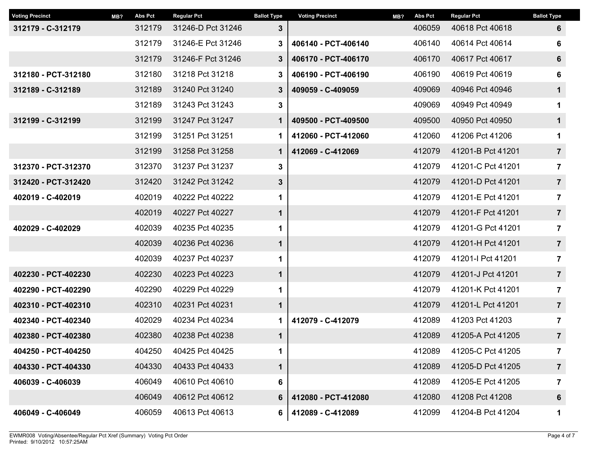| MB? | <b>Abs Pct</b> | <b>Regular Pct</b> | <b>Ballot Type</b> | <b>Voting Precinct</b> | MB?    | <b>Abs Pct</b> | <b>Regular Pct</b> | <b>Ballot Type</b> |
|-----|----------------|--------------------|--------------------|------------------------|--------|----------------|--------------------|--------------------|
|     | 312179         | 31246-D Pct 31246  | $3\phantom{a}$     |                        |        | 406059         | 40618 Pct 40618    | 6                  |
|     | 312179         | 31246-E Pct 31246  | 3                  | 406140 - PCT-406140    | 406140 |                | 40614 Pct 40614    | 6                  |
|     | 312179         | 31246-F Pct 31246  | $\mathbf{3}$       | 406170 - PCT-406170    |        | 406170         | 40617 Pct 40617    | $6\phantom{1}$     |
|     | 312180         | 31218 Pct 31218    | 3                  | 406190 - PCT-406190    |        | 406190         | 40619 Pct 40619    | $6\phantom{1}6$    |
|     | 312189         | 31240 Pct 31240    | $\mathbf{3}$       | 409059 - C-409059      |        | 409069         | 40946 Pct 40946    | $\mathbf 1$        |
|     | 312189         | 31243 Pct 31243    | 3                  |                        |        | 409069         | 40949 Pct 40949    | 1                  |
|     | 312199         | 31247 Pct 31247    | $\mathbf 1$        | 409500 - PCT-409500    |        | 409500         | 40950 Pct 40950    | $\mathbf 1$        |
|     | 312199         | 31251 Pct 31251    | 1                  | 412060 - PCT-412060    |        | 412060         | 41206 Pct 41206    | 1                  |
|     | 312199         | 31258 Pct 31258    | $\mathbf 1$        | 412069 - C-412069      |        | 412079         | 41201-B Pct 41201  | $\overline{7}$     |
|     | 312370         | 31237 Pct 31237    | 3                  |                        |        | 412079         | 41201-C Pct 41201  | $\overline{7}$     |
|     | 312420         | 31242 Pct 31242    | 3                  |                        |        | 412079         | 41201-D Pct 41201  | $\overline{7}$     |
|     | 402019         | 40222 Pct 40222    | 1                  |                        |        | 412079         | 41201-E Pct 41201  | $\overline{7}$     |
|     | 402019         | 40227 Pct 40227    | $\mathbf 1$        |                        |        | 412079         | 41201-F Pct 41201  | $\overline{7}$     |
|     | 402039         | 40235 Pct 40235    | 1                  |                        |        | 412079         | 41201-G Pct 41201  | $\overline{7}$     |
|     | 402039         | 40236 Pct 40236    | $\mathbf 1$        |                        |        | 412079         | 41201-H Pct 41201  | $\overline{7}$     |
|     | 402039         | 40237 Pct 40237    | 1                  |                        |        | 412079         | 41201-I Pct 41201  | $\overline{7}$     |
|     | 402230         | 40223 Pct 40223    | $\mathbf 1$        |                        |        | 412079         | 41201-J Pct 41201  | $\overline{7}$     |
|     | 402290         | 40229 Pct 40229    | 1                  |                        |        | 412079         | 41201-K Pct 41201  | $\overline{7}$     |
|     | 402310         | 40231 Pct 40231    | $\mathbf 1$        |                        |        | 412079         | 41201-L Pct 41201  | $\overline{7}$     |
|     | 402029         | 40234 Pct 40234    | $\mathbf 1$        | 412079 - C-412079      |        | 412089         | 41203 Pct 41203    | $\overline{7}$     |
|     | 402380         | 40238 Pct 40238    | $\mathbf 1$        |                        |        | 412089         | 41205-A Pct 41205  | $\overline{7}$     |
|     | 404250         | 40425 Pct 40425    | 1                  |                        |        | 412089         | 41205-C Pct 41205  | 7                  |
|     | 404330         | 40433 Pct 40433    | 1                  |                        |        | 412089         | 41205-D Pct 41205  | $\overline{7}$     |
|     | 406049         | 40610 Pct 40610    | 6                  |                        |        | 412089         | 41205-E Pct 41205  | 7                  |
|     | 406049         | 40612 Pct 40612    | 6                  | 412080 - PCT-412080    |        | 412080         | 41208 Pct 41208    | 6                  |
|     | 406059         | 40613 Pct 40613    | 6                  | 412089 - C-412089      |        | 412099         | 41204-B Pct 41204  | 1                  |
|     |                |                    |                    |                        |        |                |                    |                    |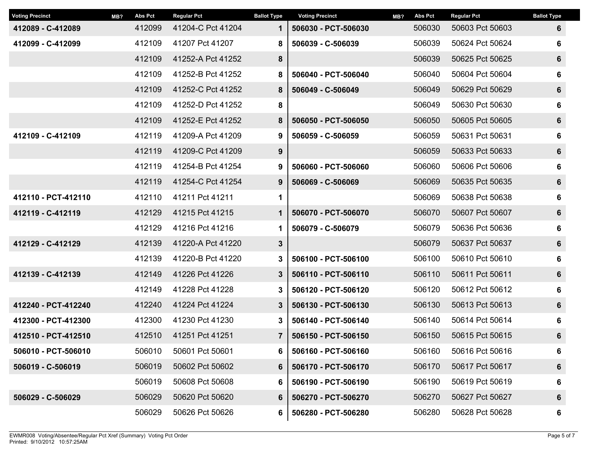| <b>Voting Precinct</b> | MB? | <b>Abs Pct</b> | <b>Regular Pct</b> | <b>Ballot Type</b> | <b>Voting Precinct</b> | MB? | <b>Abs Pct</b> | <b>Regular Pct</b> | <b>Ballot Type</b> |
|------------------------|-----|----------------|--------------------|--------------------|------------------------|-----|----------------|--------------------|--------------------|
| 412089 - C-412089      |     | 412099         | 41204-C Pct 41204  | $\mathbf 1$        | 506030 - PCT-506030    |     | 506030         | 50603 Pct 50603    | 6                  |
| 412099 - C-412099      |     | 412109         | 41207 Pct 41207    | 8                  | 506039 - C-506039      |     | 506039         | 50624 Pct 50624    | 6                  |
|                        |     | 412109         | 41252-A Pct 41252  | 8                  |                        |     | 506039         | 50625 Pct 50625    | $\boldsymbol{6}$   |
|                        |     | 412109         | 41252-B Pct 41252  | 8                  | 506040 - PCT-506040    |     | 506040         | 50604 Pct 50604    | $6\phantom{1}6$    |
|                        |     | 412109         | 41252-C Pct 41252  | 8                  | 506049 - C-506049      |     | 506049         | 50629 Pct 50629    | $\boldsymbol{6}$   |
|                        |     | 412109         | 41252-D Pct 41252  | 8                  |                        |     | 506049         | 50630 Pct 50630    | 6                  |
|                        |     | 412109         | 41252-E Pct 41252  | 8                  | 506050 - PCT-506050    |     | 506050         | 50605 Pct 50605    | 6                  |
| 412109 - C-412109      |     | 412119         | 41209-A Pct 41209  | 9                  | 506059 - C-506059      |     | 506059         | 50631 Pct 50631    | 6                  |
|                        |     | 412119         | 41209-C Pct 41209  | 9                  |                        |     | 506059         | 50633 Pct 50633    | 6                  |
|                        |     | 412119         | 41254-B Pct 41254  | 9                  | 506060 - PCT-506060    |     | 506060         | 50606 Pct 50606    | $\bf 6$            |
|                        |     | 412119         | 41254-C Pct 41254  | 9                  | 506069 - C-506069      |     | 506069         | 50635 Pct 50635    | $6\phantom{1}6$    |
| 412110 - PCT-412110    |     | 412110         | 41211 Pct 41211    | 1                  |                        |     | 506069         | 50638 Pct 50638    | $\bf 6$            |
| 412119 - C-412119      |     | 412129         | 41215 Pct 41215    | $\mathbf 1$        | 506070 - PCT-506070    |     | 506070         | 50607 Pct 50607    | $6\phantom{1}6$    |
|                        |     | 412129         | 41216 Pct 41216    | 1                  | 506079 - C-506079      |     | 506079         | 50636 Pct 50636    | 6                  |
| 412129 - C-412129      |     | 412139         | 41220-A Pct 41220  | $3\phantom{a}$     |                        |     | 506079         | 50637 Pct 50637    | $6\phantom{1}6$    |
|                        |     | 412139         | 41220-B Pct 41220  | 3                  | 506100 - PCT-506100    |     | 506100         | 50610 Pct 50610    | $6\phantom{1}6$    |
| 412139 - C-412139      |     | 412149         | 41226 Pct 41226    | $3\phantom{a}$     | 506110 - PCT-506110    |     | 506110         | 50611 Pct 50611    | 6                  |
|                        |     | 412149         | 41228 Pct 41228    | 3                  | 506120 - PCT-506120    |     | 506120         | 50612 Pct 50612    | 6                  |
| 412240 - PCT-412240    |     | 412240         | 41224 Pct 41224    | $3\phantom{a}$     | 506130 - PCT-506130    |     | 506130         | 50613 Pct 50613    | 6                  |
| 412300 - PCT-412300    |     | 412300         | 41230 Pct 41230    | 3                  | 506140 - PCT-506140    |     | 506140         | 50614 Pct 50614    | $6\phantom{1}6$    |
| 412510 - PCT-412510    |     | 412510         | 41251 Pct 41251    | $\overline{7}$     | 506150 - PCT-506150    |     | 506150         | 50615 Pct 50615    | $6\phantom{1}$     |
| 506010 - PCT-506010    |     | 506010         | 50601 Pct 50601    | 6                  | 506160 - PCT-506160    |     | 506160         | 50616 Pct 50616    | 6                  |
| 506019 - C-506019      |     | 506019         | 50602 Pct 50602    | 6                  | 506170 - PCT-506170    |     | 506170         | 50617 Pct 50617    | 6                  |
|                        |     | 506019         | 50608 Pct 50608    | 6                  | 506190 - PCT-506190    |     | 506190         | 50619 Pct 50619    | 6                  |
| 506029 - C-506029      |     | 506029         | 50620 Pct 50620    | 6                  | 506270 - PCT-506270    |     | 506270         | 50627 Pct 50627    | 6                  |
|                        |     | 506029         | 50626 Pct 50626    | 6                  | 506280 - PCT-506280    |     | 506280         | 50628 Pct 50628    | 6                  |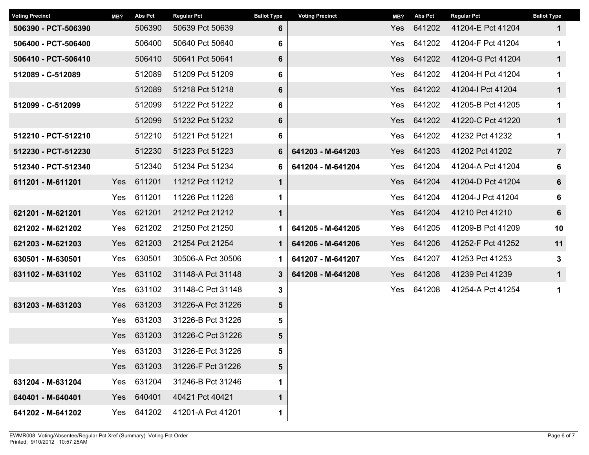| <b>Voting Precinct</b> | MB? | <b>Abs Pct</b> | <b>Regular Pct</b> | <b>Ballot Type</b> | <b>Voting Precinct</b> | MB?        | <b>Abs Pct</b> | <b>Regular Pct</b> | <b>Ballot Type</b> |
|------------------------|-----|----------------|--------------------|--------------------|------------------------|------------|----------------|--------------------|--------------------|
| 506390 - PCT-506390    |     | 506390         | 50639 Pct 50639    | 6                  |                        | <b>Yes</b> | 641202         | 41204-E Pct 41204  | $\mathbf 1$        |
| 506400 - PCT-506400    |     | 506400         | 50640 Pct 50640    | 6                  |                        | Yes        | 641202         | 41204-F Pct 41204  | 1                  |
| 506410 - PCT-506410    |     | 506410         | 50641 Pct 50641    | 6                  |                        | <b>Yes</b> | 641202         | 41204-G Pct 41204  | $\mathbf 1$        |
| 512089 - C-512089      |     | 512089         | 51209 Pct 51209    | 6                  |                        | Yes        | 641202         | 41204-H Pct 41204  | 1                  |
|                        |     | 512089         | 51218 Pct 51218    | 6                  |                        | Yes        | 641202         | 41204-I Pct 41204  | $\mathbf 1$        |
| 512099 - C-512099      |     | 512099         | 51222 Pct 51222    | 6                  |                        | Yes        | 641202         | 41205-B Pct 41205  | 1                  |
|                        |     | 512099         | 51232 Pct 51232    | 6                  |                        | Yes        | 641202         | 41220-C Pct 41220  | $\mathbf 1$        |
| 512210 - PCT-512210    |     | 512210         | 51221 Pct 51221    | 6                  |                        | Yes        | 641202         | 41232 Pct 41232    | 1                  |
| 512230 - PCT-512230    |     | 512230         | 51223 Pct 51223    | 6                  | 641203 - M-641203      | Yes        | 641203         | 41202 Pct 41202    | $\overline{7}$     |
| 512340 - PCT-512340    |     | 512340         | 51234 Pct 51234    | 6                  | 641204 - M-641204      | Yes        | 641204         | 41204-A Pct 41204  | 6                  |
| 611201 - M-611201      | Yes | 611201         | 11212 Pct 11212    | $\mathbf 1$        |                        |            | Yes 641204     | 41204-D Pct 41204  | $6\phantom{a}$     |
|                        | Yes | 611201         | 11226 Pct 11226    | 1                  |                        | Yes        | 641204         | 41204-J Pct 41204  | 6                  |
| 621201 - M-621201      | Yes | 621201         | 21212 Pct 21212    | $\mathbf 1$        |                        | Yes        | 641204         | 41210 Pct 41210    | $6\phantom{a}$     |
| 621202 - M-621202      | Yes | 621202         | 21250 Pct 21250    | $\mathbf 1$        | 641205 - M-641205      | Yes        | 641205         | 41209-B Pct 41209  | 10                 |
| 621203 - M-621203      | Yes | 621203         | 21254 Pct 21254    | $\mathbf 1$        | 641206 - M-641206      | Yes        | 641206         | 41252-F Pct 41252  | 11                 |
| 630501 - M-630501      | Yes | 630501         | 30506-A Pct 30506  | 1                  | 641207 - M-641207      | Yes        | 641207         | 41253 Pct 41253    | 3                  |
| 631102 - M-631102      | Yes | 631102         | 31148-A Pct 31148  | $3\phantom{.0}$    | 641208 - M-641208      | Yes        | 641208         | 41239 Pct 41239    | $\mathbf 1$        |
|                        | Yes | 631102         | 31148-C Pct 31148  | 3                  |                        | Yes        | 641208         | 41254-A Pct 41254  | 1                  |
| 631203 - M-631203      | Yes | 631203         | 31226-A Pct 31226  | 5                  |                        |            |                |                    |                    |
|                        | Yes | 631203         | 31226-B Pct 31226  | 5                  |                        |            |                |                    |                    |
|                        | Yes | 631203         | 31226-C Pct 31226  | 5                  |                        |            |                |                    |                    |
|                        | Yes | 631203         | 31226-E Pct 31226  | 5                  |                        |            |                |                    |                    |
|                        | Yes | 631203         | 31226-F Pct 31226  | 5                  |                        |            |                |                    |                    |
| 631204 - M-631204      | Yes | 631204         | 31246-B Pct 31246  | 1                  |                        |            |                |                    |                    |
| 640401 - M-640401      | Yes | 640401         | 40421 Pct 40421    | $\mathbf 1$        |                        |            |                |                    |                    |
| 641202 - M-641202      | Yes | 641202         | 41201-A Pct 41201  | 1                  |                        |            |                |                    |                    |